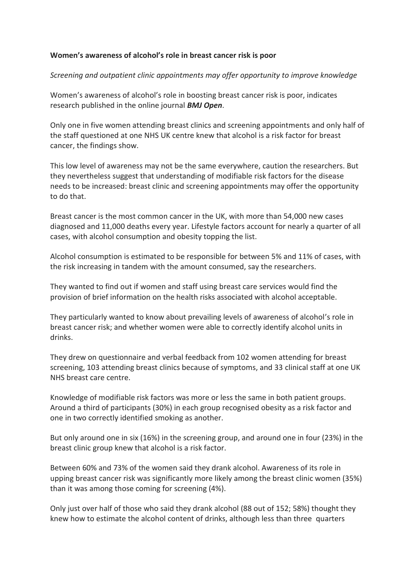## **Women's awareness of alcohol's role in breast cancer risk is poor**

## *Screening and outpatient clinic appointments may offer opportunity to improve knowledge*

Women's awareness of alcohol's role in boosting breast cancer risk is poor, indicates research published in the online journal *BMJ Open*.

Only one in five women attending breast clinics and screening appointments and only half of the staff questioned at one NHS UK centre knew that alcohol is a risk factor for breast cancer, the findings show.

This low level of awareness may not be the same everywhere, caution the researchers. But they nevertheless suggest that understanding of modifiable risk factors for the disease needs to be increased: breast clinic and screening appointments may offer the opportunity to do that.

Breast cancer is the most common cancer in the UK, with more than 54,000 new cases diagnosed and 11,000 deaths every year. Lifestyle factors account for nearly a quarter of all cases, with alcohol consumption and obesity topping the list.

Alcohol consumption is estimated to be responsible for between 5% and 11% of cases, with the risk increasing in tandem with the amount consumed, say the researchers.

They wanted to find out if women and staff using breast care services would find the provision of brief information on the health risks associated with alcohol acceptable.

They particularly wanted to know about prevailing levels of awareness of alcohol's role in breast cancer risk; and whether women were able to correctly identify alcohol units in drinks.

They drew on questionnaire and verbal feedback from 102 women attending for breast screening, 103 attending breast clinics because of symptoms, and 33 clinical staff at one UK NHS breast care centre.

Knowledge of modifiable risk factors was more or less the same in both patient groups. Around a third of participants (30%) in each group recognised obesity as a risk factor and one in two correctly identified smoking as another.

But only around one in six (16%) in the screening group, and around one in four (23%) in the breast clinic group knew that alcohol is a risk factor.

Between 60% and 73% of the women said they drank alcohol. Awareness of its role in upping breast cancer risk was significantly more likely among the breast clinic women (35%) than it was among those coming for screening (4%).

Only just over half of those who said they drank alcohol (88 out of 152; 58%) thought they knew how to estimate the alcohol content of drinks, although less than three quarters